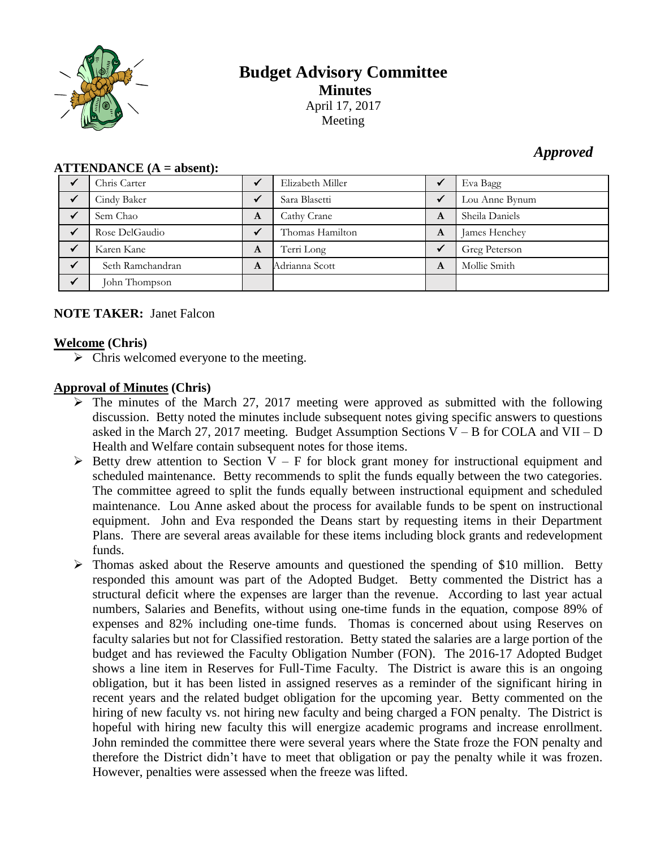

# **Budget Advisory Committee Minutes** April 17, 2017 Meeting

## *Approved*

| $ALLEIVALUE (A = avsetii).$ |                  |   |                  |              |                |
|-----------------------------|------------------|---|------------------|--------------|----------------|
|                             | Chris Carter     |   | Elizabeth Miller |              | Eva Bagg       |
|                             | Cindy Baker      |   | Sara Blasetti    |              | Lou Anne Bynum |
|                             | Sem Chao         | A | Cathy Crane      | A            | Sheila Daniels |
|                             | Rose DelGaudio   |   | Thomas Hamilton  | A            | James Henchey  |
|                             | Karen Kane       | A | Terri Long       | $\checkmark$ | Greg Peterson  |
|                             | Seth Ramchandran | A | Adrianna Scott   | A            | Mollie Smith   |
| $\checkmark$                | John Thompson    |   |                  |              |                |

### **ATTENDANCE (A = absent):**

## **NOTE TAKER:** Janet Falcon

#### **Welcome (Chris)**

 $\triangleright$  Chris welcomed everyone to the meeting.

## **Approval of Minutes (Chris)**

- $\triangleright$  The minutes of the March 27, 2017 meeting were approved as submitted with the following discussion. Betty noted the minutes include subsequent notes giving specific answers to questions asked in the March 27, 2017 meeting. Budget Assumption Sections  $V - B$  for COLA and VII – D Health and Welfare contain subsequent notes for those items.
- $\triangleright$  Betty drew attention to Section V F for block grant money for instructional equipment and scheduled maintenance. Betty recommends to split the funds equally between the two categories. The committee agreed to split the funds equally between instructional equipment and scheduled maintenance. Lou Anne asked about the process for available funds to be spent on instructional equipment. John and Eva responded the Deans start by requesting items in their Department Plans. There are several areas available for these items including block grants and redevelopment funds.
- $\triangleright$  Thomas asked about the Reserve amounts and questioned the spending of \$10 million. Betty responded this amount was part of the Adopted Budget. Betty commented the District has a structural deficit where the expenses are larger than the revenue. According to last year actual numbers, Salaries and Benefits, without using one-time funds in the equation, compose 89% of expenses and 82% including one-time funds. Thomas is concerned about using Reserves on faculty salaries but not for Classified restoration. Betty stated the salaries are a large portion of the budget and has reviewed the Faculty Obligation Number (FON). The 2016-17 Adopted Budget shows a line item in Reserves for Full-Time Faculty. The District is aware this is an ongoing obligation, but it has been listed in assigned reserves as a reminder of the significant hiring in recent years and the related budget obligation for the upcoming year. Betty commented on the hiring of new faculty vs. not hiring new faculty and being charged a FON penalty. The District is hopeful with hiring new faculty this will energize academic programs and increase enrollment. John reminded the committee there were several years where the State froze the FON penalty and therefore the District didn't have to meet that obligation or pay the penalty while it was frozen. However, penalties were assessed when the freeze was lifted.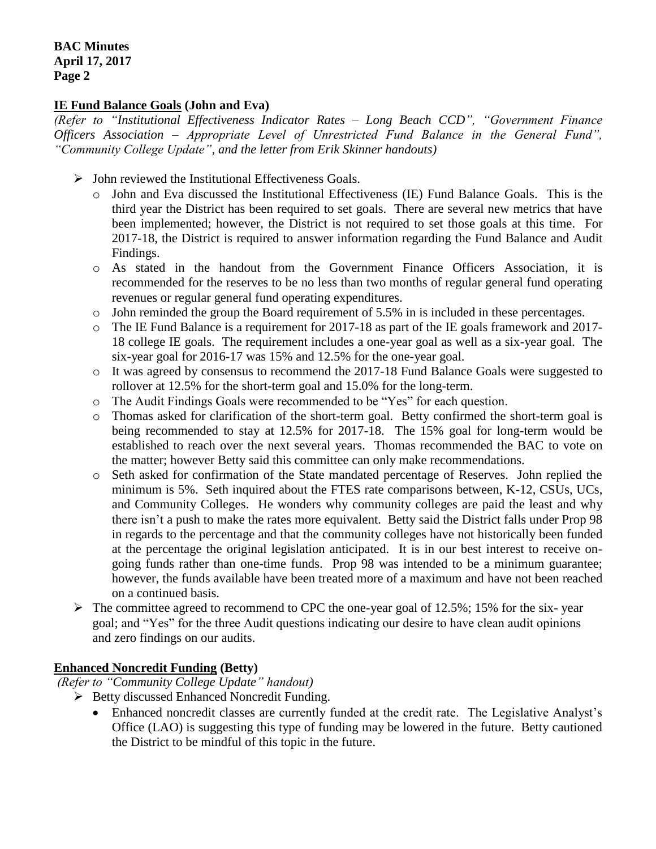## **IE Fund Balance Goals (John and Eva)**

*(Refer to "Institutional Effectiveness Indicator Rates – Long Beach CCD", "Government Finance Officers Association – Appropriate Level of Unrestricted Fund Balance in the General Fund", "Community College Update", and the letter from Erik Skinner handouts)*

- $\triangleright$  John reviewed the Institutional Effectiveness Goals.
	- o John and Eva discussed the Institutional Effectiveness (IE) Fund Balance Goals. This is the third year the District has been required to set goals. There are several new metrics that have been implemented; however, the District is not required to set those goals at this time. For 2017-18, the District is required to answer information regarding the Fund Balance and Audit Findings.
	- o As stated in the handout from the Government Finance Officers Association, it is recommended for the reserves to be no less than two months of regular general fund operating revenues or regular general fund operating expenditures.
	- o John reminded the group the Board requirement of 5.5% in is included in these percentages.
	- $\circ$  The IE Fund Balance is a requirement for 2017-18 as part of the IE goals framework and 2017-18 college IE goals. The requirement includes a one-year goal as well as a six-year goal. The six-year goal for 2016-17 was 15% and 12.5% for the one-year goal.
	- o It was agreed by consensus to recommend the 2017-18 Fund Balance Goals were suggested to rollover at 12.5% for the short-term goal and 15.0% for the long-term.
	- o The Audit Findings Goals were recommended to be "Yes" for each question.
	- o Thomas asked for clarification of the short-term goal. Betty confirmed the short-term goal is being recommended to stay at 12.5% for 2017-18. The 15% goal for long-term would be established to reach over the next several years. Thomas recommended the BAC to vote on the matter; however Betty said this committee can only make recommendations.
	- o Seth asked for confirmation of the State mandated percentage of Reserves. John replied the minimum is 5%. Seth inquired about the FTES rate comparisons between, K-12, CSUs, UCs, and Community Colleges. He wonders why community colleges are paid the least and why there isn't a push to make the rates more equivalent. Betty said the District falls under Prop 98 in regards to the percentage and that the community colleges have not historically been funded at the percentage the original legislation anticipated. It is in our best interest to receive ongoing funds rather than one-time funds. Prop 98 was intended to be a minimum guarantee; however, the funds available have been treated more of a maximum and have not been reached on a continued basis.
- $\triangleright$  The committee agreed to recommend to CPC the one-year goal of 12.5%; 15% for the six-year goal; and "Yes" for the three Audit questions indicating our desire to have clean audit opinions and zero findings on our audits.

#### **Enhanced Noncredit Funding (Betty)**

*(Refer to "Community College Update" handout)*

- $\triangleright$  Betty discussed Enhanced Noncredit Funding.
	- Enhanced noncredit classes are currently funded at the credit rate. The Legislative Analyst's Office (LAO) is suggesting this type of funding may be lowered in the future. Betty cautioned the District to be mindful of this topic in the future.